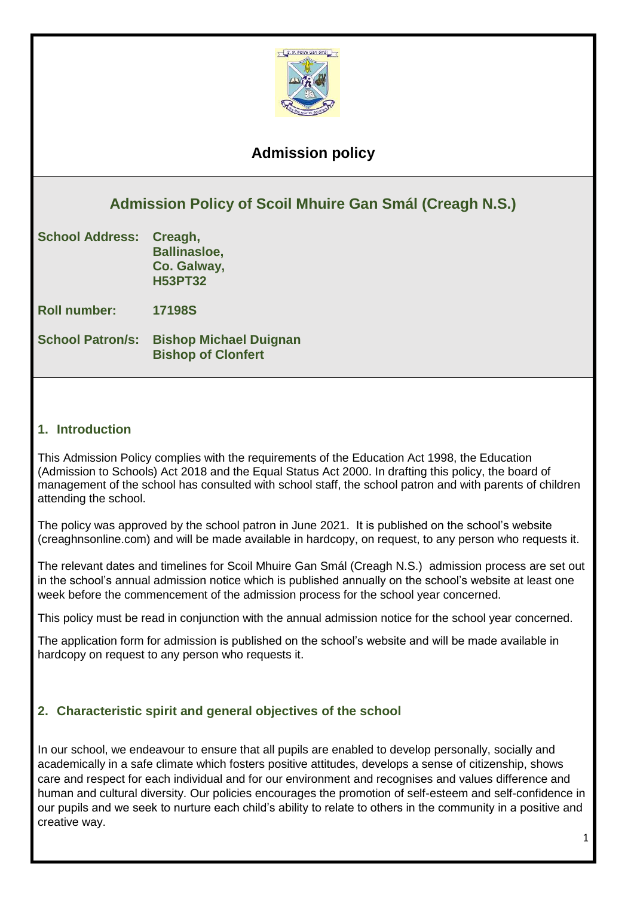

# **Admission policy**

# **Admission Policy of Scoil Mhuire Gan Smál (Creagh N.S.)**

| <b>School Address:</b> | Creagh,             |
|------------------------|---------------------|
|                        | <b>Ballinasloe,</b> |
|                        | Co. Galway,         |
|                        | <b>H53PT32</b>      |

**Roll number: 17198S**

**School Patron/s: Bishop Michael Duignan Bishop of Clonfert**

## **1. Introduction**

This Admission Policy complies with the requirements of the Education Act 1998, the Education (Admission to Schools) Act 2018 and the Equal Status Act 2000. In drafting this policy, the board of management of the school has consulted with school staff, the school patron and with parents of children attending the school.

The policy was approved by the school patron in June 2021. It is published on the school's website (creaghnsonline.com) and will be made available in hardcopy, on request, to any person who requests it.

The relevant dates and timelines for Scoil Mhuire Gan Smál (Creagh N.S.) admission process are set out in the school's annual admission notice which is published annually on the school's website at least one week before the commencement of the admission process for the school year concerned.

This policy must be read in conjunction with the annual admission notice for the school year concerned.

The application form for admission is published on the school's website and will be made available in hardcopy on request to any person who requests it.

## **2. Characteristic spirit and general objectives of the school**

In our school, we endeavour to ensure that all pupils are enabled to develop personally, socially and academically in a safe climate which fosters positive attitudes, develops a sense of citizenship, shows care and respect for each individual and for our environment and recognises and values difference and human and cultural diversity. Our policies encourages the promotion of self-esteem and self-confidence in our pupils and we seek to nurture each child's ability to relate to others in the community in a positive and creative way.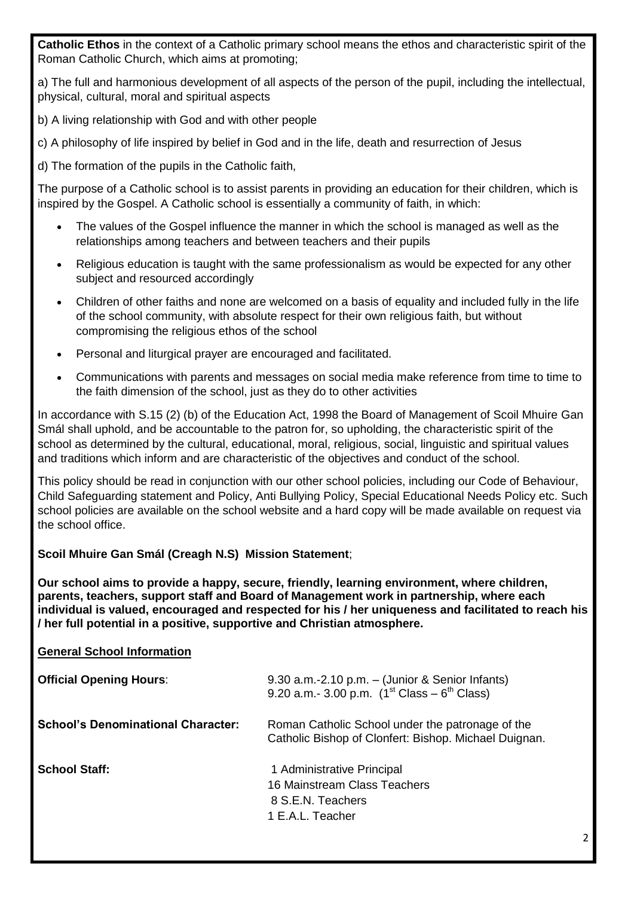**Catholic Ethos** in the context of a Catholic primary school means the ethos and characteristic spirit of the Roman Catholic Church, which aims at promoting;

a) The full and harmonious development of all aspects of the person of the pupil, including the intellectual, physical, cultural, moral and spiritual aspects

b) A living relationship with God and with other people

c) A philosophy of life inspired by belief in God and in the life, death and resurrection of Jesus

d) The formation of the pupils in the Catholic faith,

The purpose of a Catholic school is to assist parents in providing an education for their children, which is inspired by the Gospel. A Catholic school is essentially a community of faith, in which:

- The values of the Gospel influence the manner in which the school is managed as well as the relationships among teachers and between teachers and their pupils
- Religious education is taught with the same professionalism as would be expected for any other subject and resourced accordingly
- Children of other faiths and none are welcomed on a basis of equality and included fully in the life of the school community, with absolute respect for their own religious faith, but without compromising the religious ethos of the school
- Personal and liturgical prayer are encouraged and facilitated.
- Communications with parents and messages on social media make reference from time to time to the faith dimension of the school, just as they do to other activities

In accordance with S.15 (2) (b) of the Education Act, 1998 the Board of Management of Scoil Mhuire Gan Smál shall uphold, and be accountable to the patron for, so upholding, the characteristic spirit of the school as determined by the cultural, educational, moral, religious, social, linguistic and spiritual values and traditions which inform and are characteristic of the objectives and conduct of the school.

This policy should be read in conjunction with our other school policies, including our Code of Behaviour, Child Safeguarding statement and Policy, Anti Bullying Policy, Special Educational Needs Policy etc. Such school policies are available on the school website and a hard copy will be made available on request via the school office.

## **Scoil Mhuire Gan Smál (Creagh N.S) Mission Statement**;

**Our school aims to provide a happy, secure, friendly, learning environment, where children, parents, teachers, support staff and Board of Management work in partnership, where each individual is valued, encouraged and respected for his / her uniqueness and facilitated to reach his / her full potential in a positive, supportive and Christian atmosphere.**

## **General School Information**

| <b>Official Opening Hours:</b>            | $9.30$ a.m.-2.10 p.m. $-$ (Junior & Senior Infants)<br>9.20 a.m.- 3.00 p.m. $(1^{st}$ Class – 6 <sup>th</sup> Class) |
|-------------------------------------------|----------------------------------------------------------------------------------------------------------------------|
| <b>School's Denominational Character:</b> | Roman Catholic School under the patronage of the<br>Catholic Bishop of Clonfert: Bishop. Michael Duignan.            |
| <b>School Staff:</b>                      | 1 Administrative Principal<br>16 Mainstream Class Teachers<br>8 S.E.N. Teachers<br>1 E.A.L. Teacher                  |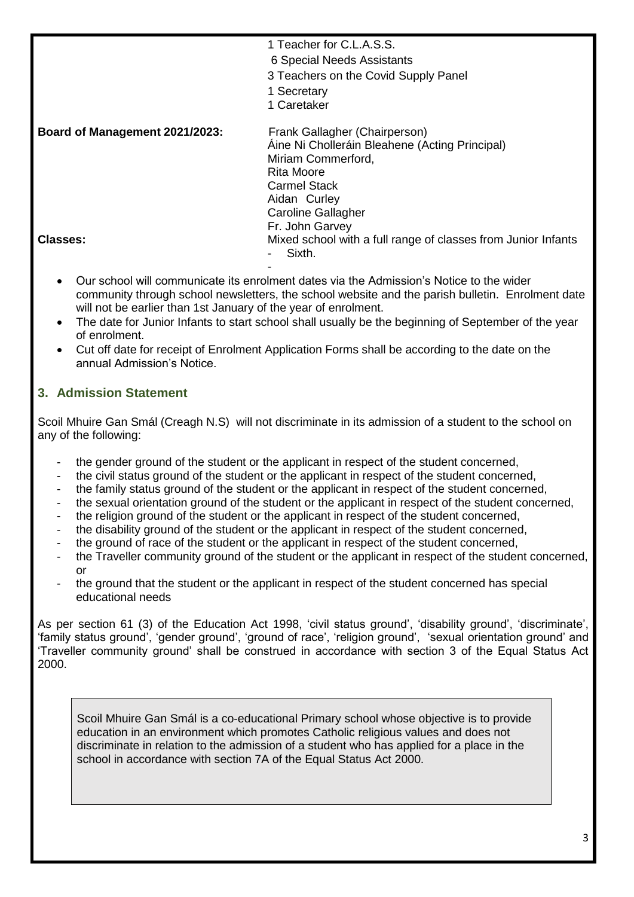| 1 Teacher for C.L.A.S.S. |  |  |  |  |
|--------------------------|--|--|--|--|
|--------------------------|--|--|--|--|

- 6 Special Needs Assistants
- 3 Teachers on the Covid Supply Panel
- 1 Secretary
- 1 Caretaker

**Board of Management 2021/2023:** Frank Gallagher (Chairperson) Áine Ni Cholleráin Bleahene (Acting Principal) Miriam Commerford, Rita Moore Carmel Stack Aidan Curley Caroline Gallagher Fr. John Garvey **Classes:** Mixed school with a full range of classes from Junior Infants Sixth.

- Our school will communicate its enrolment dates via the Admission's Notice to the wider community through school newsletters, the school website and the parish bulletin. Enrolment date will not be earlier than 1st January of the year of enrolment.
- The date for Junior Infants to start school shall usually be the beginning of September of the year of enrolment.
- Cut off date for receipt of Enrolment Application Forms shall be according to the date on the annual Admission's Notice.

# **3. Admission Statement**

Scoil Mhuire Gan Smál (Creagh N.S) will not discriminate in its admission of a student to the school on any of the following:

- the gender ground of the student or the applicant in respect of the student concerned,
- the civil status ground of the student or the applicant in respect of the student concerned,
- the family status ground of the student or the applicant in respect of the student concerned,
- the sexual orientation ground of the student or the applicant in respect of the student concerned,
- the religion ground of the student or the applicant in respect of the student concerned,
- the disability ground of the student or the applicant in respect of the student concerned,
- the ground of race of the student or the applicant in respect of the student concerned,
- the Traveller community ground of the student or the applicant in respect of the student concerned, or
- the ground that the student or the applicant in respect of the student concerned has special educational needs

As per section 61 (3) of the Education Act 1998, 'civil status ground', 'disability ground', 'discriminate', 'family status ground', 'gender ground', 'ground of race', 'religion ground', 'sexual orientation ground' and 'Traveller community ground' shall be construed in accordance with section 3 of the Equal Status Act 2000.

Scoil Mhuire Gan Smál is a co-educational Primary school whose objective is to provide education in an environment which promotes Catholic religious values and does not discriminate in relation to the admission of a student who has applied for a place in the school in accordance with section 7A of the Equal Status Act 2000.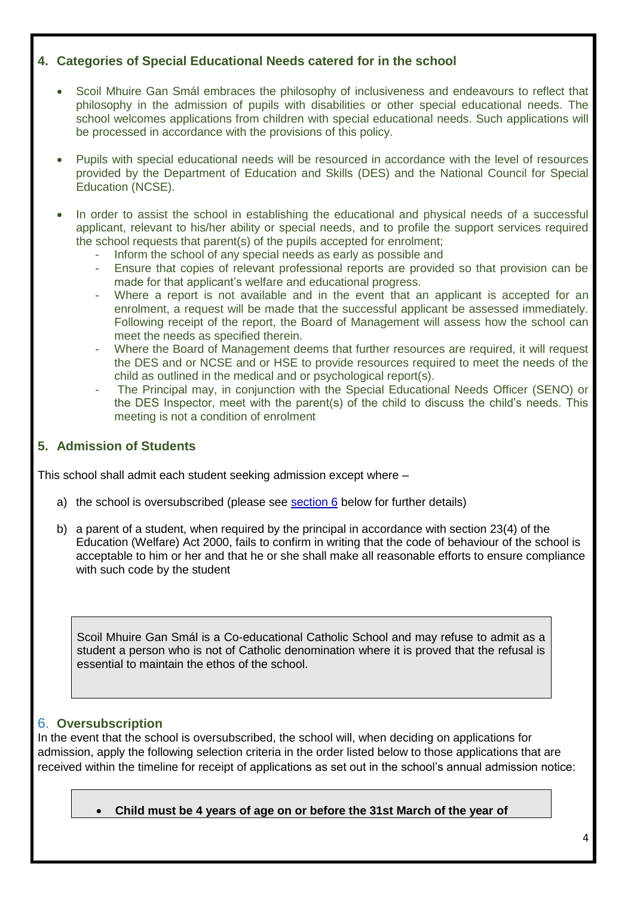# **4. Categories of Special Educational Needs catered for in the school**

- Scoil Mhuire Gan Smál embraces the philosophy of inclusiveness and endeavours to reflect that philosophy in the admission of pupils with disabilities or other special educational needs. The school welcomes applications from children with special educational needs. Such applications will be processed in accordance with the provisions of this policy.
- Pupils with special educational needs will be resourced in accordance with the level of resources provided by the Department of Education and Skills (DES) and the National Council for Special Education (NCSE).
- In order to assist the school in establishing the educational and physical needs of a successful applicant, relevant to his/her ability or special needs, and to profile the support services required the school requests that parent(s) of the pupils accepted for enrolment;
	- Inform the school of any special needs as early as possible and
	- Ensure that copies of relevant professional reports are provided so that provision can be made for that applicant's welfare and educational progress.
	- Where a report is not available and in the event that an applicant is accepted for an enrolment, a request will be made that the successful applicant be assessed immediately. Following receipt of the report, the Board of Management will assess how the school can meet the needs as specified therein.
	- Where the Board of Management deems that further resources are required, it will request the DES and or NCSE and or HSE to provide resources required to meet the needs of the child as outlined in the medical and or psychological report(s).
	- The Principal may, in conjunction with the Special Educational Needs Officer (SENO) or the DES Inspector, meet with the parent(s) of the child to discuss the child's needs. This meeting is not a condition of enrolment

# **5. Admission of Students**

This school shall admit each student seeking admission except where –

- a) the school is oversubscribed (please see [section 6](#page-3-0) below for further details)
- b) a parent of a student, when required by the principal in accordance with section 23(4) of the Education (Welfare) Act 2000, fails to confirm in writing that the code of behaviour of the school is acceptable to him or her and that he or she shall make all reasonable efforts to ensure compliance with such code by the student

Scoil Mhuire Gan Smál is a Co-educational Catholic School and may refuse to admit as a student a person who is not of Catholic denomination where it is proved that the refusal is essential to maintain the ethos of the school.

# <span id="page-3-0"></span>6. **Oversubscription**

In the event that the school is oversubscribed, the school will, when deciding on applications for admission, apply the following selection criteria in the order listed below to those applications that are received within the timeline for receipt of applications as set out in the school's annual admission notice:

**Child must be 4 years of age on or before the 31st March of the year of**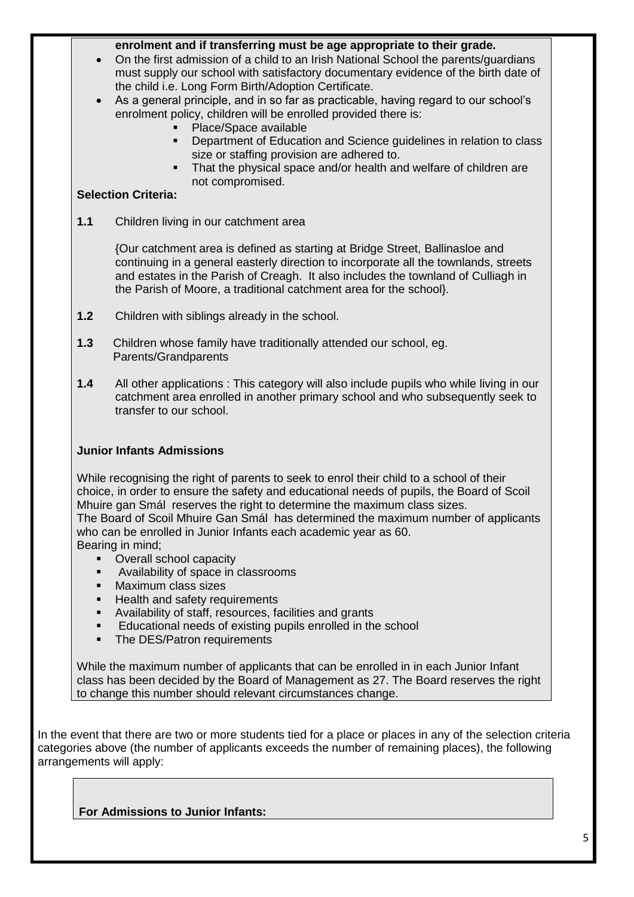#### **enrolment and if transferring must be age appropriate to their grade.**

- On the first admission of a child to an Irish National School the parents/guardians must supply our school with satisfactory documentary evidence of the birth date of the child i.e. Long Form Birth/Adoption Certificate.
- As a general principle, and in so far as practicable, having regard to our school's enrolment policy, children will be enrolled provided there is:
	- Place/Space available
	- **Department of Education and Science guidelines in relation to class** size or staffing provision are adhered to.
	- That the physical space and/or health and welfare of children are not compromised.

#### **Selection Criteria:**

**1.1** Children living in our catchment area

{Our catchment area is defined as starting at Bridge Street, Ballinasloe and continuing in a general easterly direction to incorporate all the townlands, streets and estates in the Parish of Creagh. It also includes the townland of Culliagh in the Parish of Moore, a traditional catchment area for the school}.

- **1.2** Children with siblings already in the school.
- **1.3** Children whose family have traditionally attended our school, eg. Parents/Grandparents
- **1.4** All other applications : This category will also include pupils who while living in our catchment area enrolled in another primary school and who subsequently seek to transfer to our school.

## **Junior Infants Admissions**

While recognising the right of parents to seek to enrol their child to a school of their choice, in order to ensure the safety and educational needs of pupils, the Board of Scoil Mhuire gan Smál reserves the right to determine the maximum class sizes. The Board of Scoil Mhuire Gan Smál has determined the maximum number of applicants who can be enrolled in Junior Infants each academic year as 60. Bearing in mind;

- Overall school capacity
- **Availability of space in classrooms**
- **Maximum class sizes**
- **Health and safety requirements**
- Availability of staff, resources, facilities and grants
- **Educational needs of existing pupils enrolled in the school**
- The DES/Patron requirements

While the maximum number of applicants that can be enrolled in in each Junior Infant class has been decided by the Board of Management as 27. The Board reserves the right to change this number should relevant circumstances change.

In the event that there are two or more students tied for a place or places in any of the selection criteria categories above (the number of applicants exceeds the number of remaining places), the following arrangements will apply:

**For Admissions to Junior Infants:**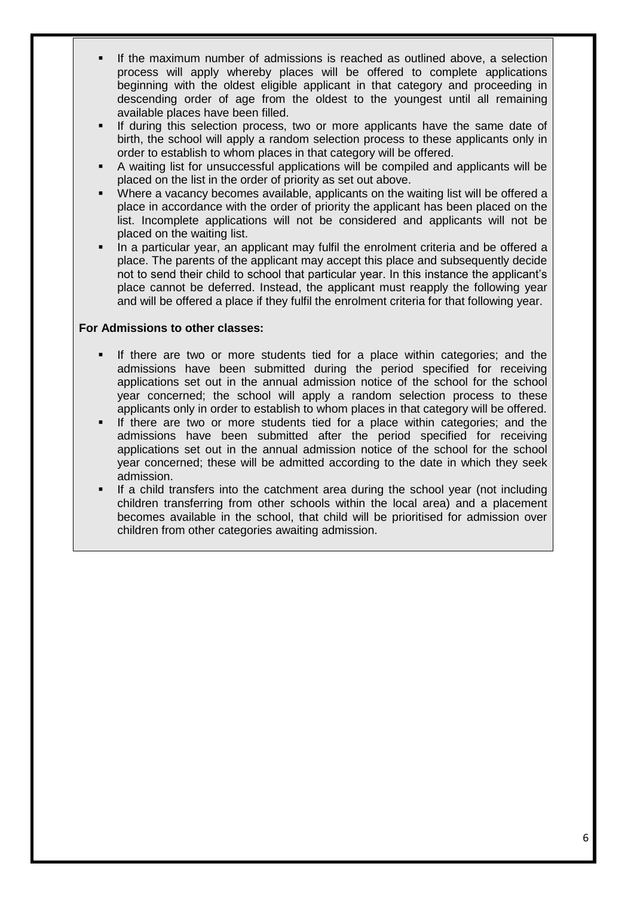- If the maximum number of admissions is reached as outlined above, a selection process will apply whereby places will be offered to complete applications beginning with the oldest eligible applicant in that category and proceeding in descending order of age from the oldest to the youngest until all remaining available places have been filled.
- If during this selection process, two or more applicants have the same date of birth, the school will apply a random selection process to these applicants only in order to establish to whom places in that category will be offered.
- A waiting list for unsuccessful applications will be compiled and applicants will be placed on the list in the order of priority as set out above.
- Where a vacancy becomes available, applicants on the waiting list will be offered a place in accordance with the order of priority the applicant has been placed on the list. Incomplete applications will not be considered and applicants will not be placed on the waiting list.
- In a particular year, an applicant may fulfil the enrolment criteria and be offered a place. The parents of the applicant may accept this place and subsequently decide not to send their child to school that particular year. In this instance the applicant's place cannot be deferred. Instead, the applicant must reapply the following year and will be offered a place if they fulfil the enrolment criteria for that following year.

#### **For Admissions to other classes:**

- If there are two or more students tied for a place within categories; and the admissions have been submitted during the period specified for receiving applications set out in the annual admission notice of the school for the school year concerned; the school will apply a random selection process to these applicants only in order to establish to whom places in that category will be offered.
- If there are two or more students tied for a place within categories; and the admissions have been submitted after the period specified for receiving applications set out in the annual admission notice of the school for the school year concerned; these will be admitted according to the date in which they seek admission.
- If a child transfers into the catchment area during the school year (not including children transferring from other schools within the local area) and a placement becomes available in the school, that child will be prioritised for admission over children from other categories awaiting admission.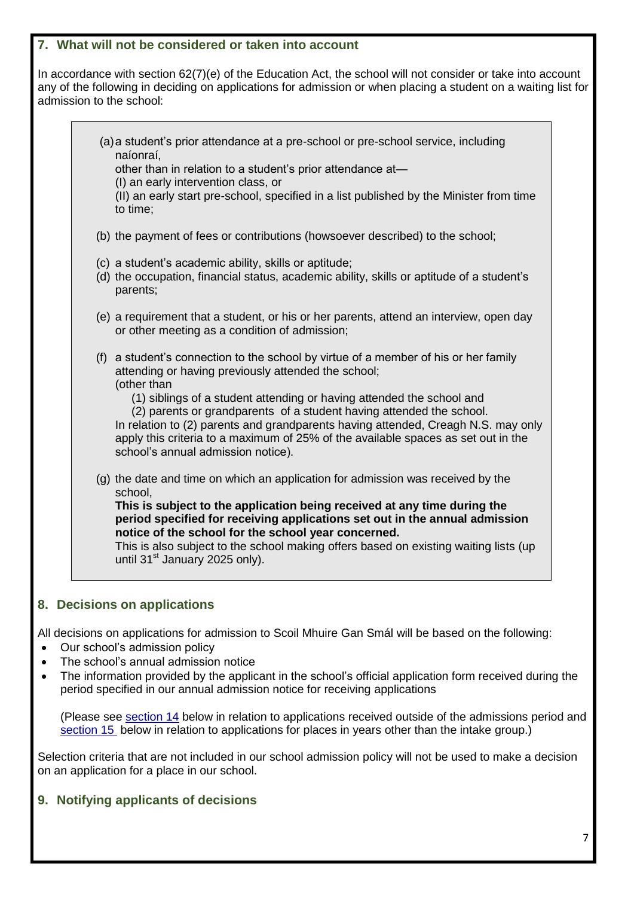#### **7. What will not be considered or taken into account**

In accordance with section 62(7)(e) of the Education Act, the school will not consider or take into account any of the following in deciding on applications for admission or when placing a student on a waiting list for admission to the school:

|           | (a) a student's prior attendance at a pre-school or pre-school service, including |  |
|-----------|-----------------------------------------------------------------------------------|--|
| naíonraí, |                                                                                   |  |

other than in relation to a student's prior attendance at—

(I) an early intervention class, or

(II) an early start pre-school, specified in a list published by the Minister from time to time;

- (b) the payment of fees or contributions (howsoever described) to the school;
- (c) a student's academic ability, skills or aptitude;
- (d) the occupation, financial status, academic ability, skills or aptitude of a student's parents;
- (e) a requirement that a student, or his or her parents, attend an interview, open day or other meeting as a condition of admission;
- (f) a student's connection to the school by virtue of a member of his or her family attending or having previously attended the school; (other than
	- (1) siblings of a student attending or having attended the school and
	- (2) parents or grandparents of a student having attended the school.

In relation to (2) parents and grandparents having attended, Creagh N.S. may only apply this criteria to a maximum of 25% of the available spaces as set out in the school's annual admission notice).

(g) the date and time on which an application for admission was received by the school,

**This is subject to the application being received at any time during the period specified for receiving applications set out in the annual admission notice of the school for the school year concerned.**

This is also subject to the school making offers based on existing waiting lists (up until 31<sup>st</sup> January 2025 only).

# **8. Decisions on applications**

All decisions on applications for admission to Scoil Mhuire Gan Smál will be based on the following:

- Our school's admission policy
- The school's annual admission notice
- The information provided by the applicant in the school's official application form received during the period specified in our annual admission notice for receiving applications

(Please see [section 14](#page-8-0) below in relation to applications received outside of the admissions period and [section 15](#page-8-1) below in relation to applications for places in years other than the intake group.)

Selection criteria that are not included in our school admission policy will not be used to make a decision on an application for a place in our school.

# **9. Notifying applicants of decisions**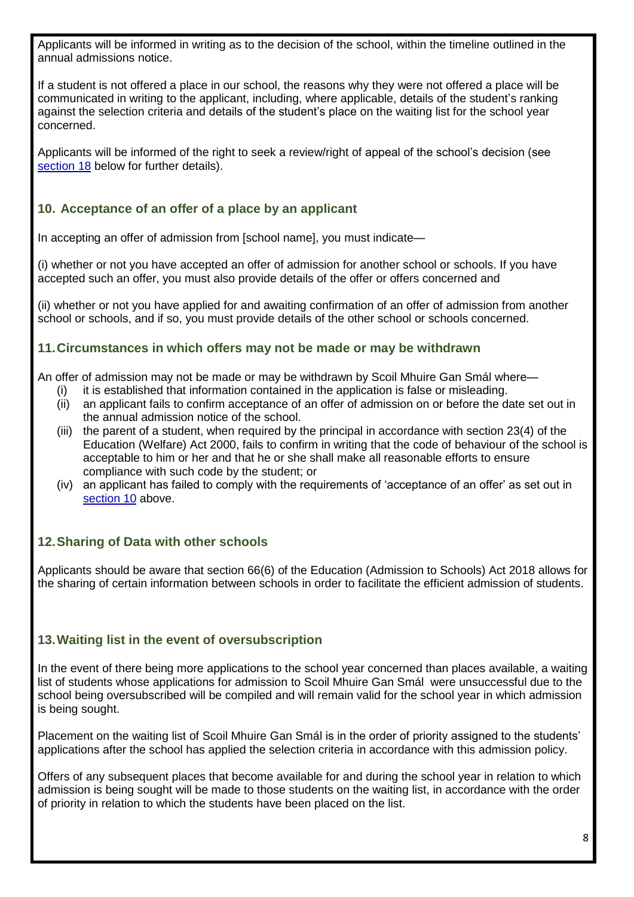Applicants will be informed in writing as to the decision of the school, within the timeline outlined in the annual admissions notice.

If a student is not offered a place in our school, the reasons why they were not offered a place will be communicated in writing to the applicant, including, where applicable, details of the student's ranking against the selection criteria and details of the student's place on the waiting list for the school year concerned.

Applicants will be informed of the right to seek a review/right of appeal of the school's decision (see [section 18](#page-9-0) below for further details).

# <span id="page-7-0"></span>**10. Acceptance of an offer of a place by an applicant**

In accepting an offer of admission from [school name], you must indicate—

(i) whether or not you have accepted an offer of admission for another school or schools. If you have accepted such an offer, you must also provide details of the offer or offers concerned and

(ii) whether or not you have applied for and awaiting confirmation of an offer of admission from another school or schools, and if so, you must provide details of the other school or schools concerned.

# **11.Circumstances in which offers may not be made or may be withdrawn**

An offer of admission may not be made or may be withdrawn by Scoil Mhuire Gan Smál where—

- (i) it is established that information contained in the application is false or misleading.
- (ii) an applicant fails to confirm acceptance of an offer of admission on or before the date set out in the annual admission notice of the school.
- (iii) the parent of a student, when required by the principal in accordance with section 23(4) of the Education (Welfare) Act 2000, fails to confirm in writing that the code of behaviour of the school is acceptable to him or her and that he or she shall make all reasonable efforts to ensure compliance with such code by the student; or
- (iv) an applicant has failed to comply with the requirements of 'acceptance of an offer' as set out in [section 10](#page-7-0) above.

# **12.Sharing of Data with other schools**

Applicants should be aware that section 66(6) of the Education (Admission to Schools) Act 2018 allows for the sharing of certain information between schools in order to facilitate the efficient admission of students.

# **13.Waiting list in the event of oversubscription**

In the event of there being more applications to the school year concerned than places available, a waiting list of students whose applications for admission to Scoil Mhuire Gan Smál were unsuccessful due to the school being oversubscribed will be compiled and will remain valid for the school year in which admission is being sought.

Placement on the waiting list of Scoil Mhuire Gan Smál is in the order of priority assigned to the students' applications after the school has applied the selection criteria in accordance with this admission policy.

Offers of any subsequent places that become available for and during the school year in relation to which admission is being sought will be made to those students on the waiting list, in accordance with the order of priority in relation to which the students have been placed on the list.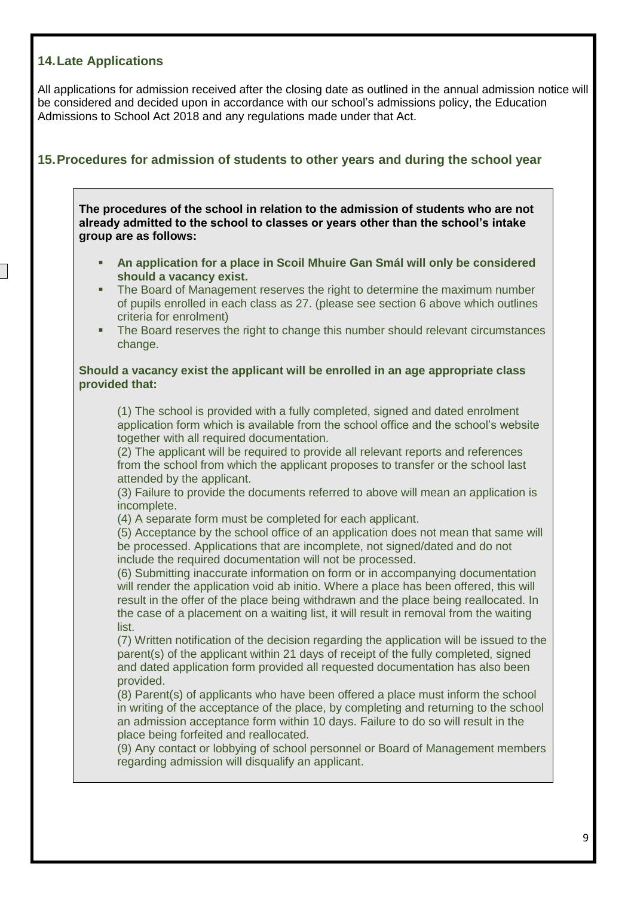## <span id="page-8-0"></span>**14.Late Applications**

All applications for admission received after the closing date as outlined in the annual admission notice will be considered and decided upon in accordance with our school's admissions policy, the Education Admissions to School Act 2018 and any regulations made under that Act.

# <span id="page-8-1"></span>**15.Procedures for admission of students to other years and during the school year**

**The procedures of the school in relation to the admission of students who are not already admitted to the school to classes or years other than the school's intake group are as follows:** 

- **An application for a place in Scoil Mhuire Gan Smál will only be considered should a vacancy exist.**
- The Board of Management reserves the right to determine the maximum number of pupils enrolled in each class as 27. (please see section 6 above which outlines criteria for enrolment)
- The Board reserves the right to change this number should relevant circumstances change.

#### **Should a vacancy exist the applicant will be enrolled in an age appropriate class provided that:**

(1) The school is provided with a fully completed, signed and dated enrolment application form which is available from the school office and the school's website together with all required documentation.

(2) The applicant will be required to provide all relevant reports and references from the school from which the applicant proposes to transfer or the school last attended by the applicant.

(3) Failure to provide the documents referred to above will mean an application is incomplete.

(4) A separate form must be completed for each applicant.

(5) Acceptance by the school office of an application does not mean that same will be processed. Applications that are incomplete, not signed/dated and do not include the required documentation will not be processed.

(6) Submitting inaccurate information on form or in accompanying documentation will render the application void ab initio. Where a place has been offered, this will result in the offer of the place being withdrawn and the place being reallocated. In the case of a placement on a waiting list, it will result in removal from the waiting list.

(7) Written notification of the decision regarding the application will be issued to the parent(s) of the applicant within 21 days of receipt of the fully completed, signed and dated application form provided all requested documentation has also been provided.

(8) Parent(s) of applicants who have been offered a place must inform the school in writing of the acceptance of the place, by completing and returning to the school an admission acceptance form within 10 days. Failure to do so will result in the place being forfeited and reallocated.

(9) Any contact or lobbying of school personnel or Board of Management members regarding admission will disqualify an applicant.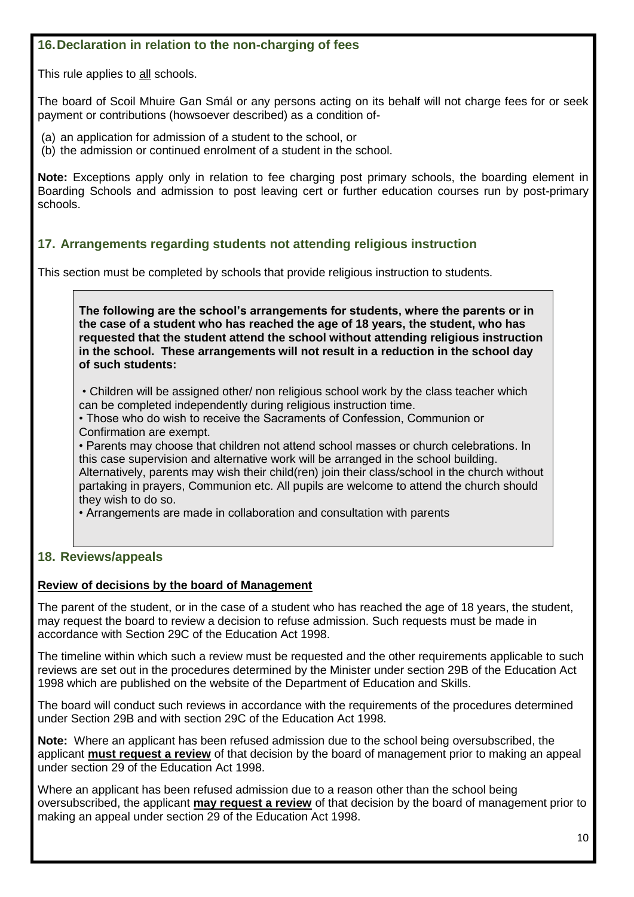# **16.Declaration in relation to the non-charging of fees**

This rule applies to all schools.

The board of Scoil Mhuire Gan Smál or any persons acting on its behalf will not charge fees for or seek payment or contributions (howsoever described) as a condition of-

(a) an application for admission of a student to the school, or

(b) the admission or continued enrolment of a student in the school.

**Note:** Exceptions apply only in relation to fee charging post primary schools, the boarding element in Boarding Schools and admission to post leaving cert or further education courses run by post-primary schools.

# **17. Arrangements regarding students not attending religious instruction**

This section must be completed by schools that provide religious instruction to students.

**The following are the school's arrangements for students, where the parents or in the case of a student who has reached the age of 18 years, the student, who has requested that the student attend the school without attending religious instruction in the school. These arrangements will not result in a reduction in the school day of such students:**

• Children will be assigned other/ non religious school work by the class teacher which can be completed independently during religious instruction time.

• Those who do wish to receive the Sacraments of Confession, Communion or Confirmation are exempt.

• Parents may choose that children not attend school masses or church celebrations. In this case supervision and alternative work will be arranged in the school building. Alternatively, parents may wish their child(ren) join their class/school in the church without partaking in prayers, Communion etc. All pupils are welcome to attend the church should they wish to do so.

• Arrangements are made in collaboration and consultation with parents

## <span id="page-9-0"></span>**18. Reviews/appeals**

## **Review of decisions by the board of Management**

The parent of the student, or in the case of a student who has reached the age of 18 years, the student, may request the board to review a decision to refuse admission. Such requests must be made in accordance with Section 29C of the Education Act 1998.

The timeline within which such a review must be requested and the other requirements applicable to such reviews are set out in the procedures determined by the Minister under section 29B of the Education Act 1998 which are published on the website of the Department of Education and Skills.

The board will conduct such reviews in accordance with the requirements of the procedures determined under Section 29B and with section 29C of the Education Act 1998.

**Note:** Where an applicant has been refused admission due to the school being oversubscribed, the applicant **must request a review** of that decision by the board of management prior to making an appeal under section 29 of the Education Act 1998.

Where an applicant has been refused admission due to a reason other than the school being oversubscribed, the applicant **may request a review** of that decision by the board of management prior to making an appeal under section 29 of the Education Act 1998.